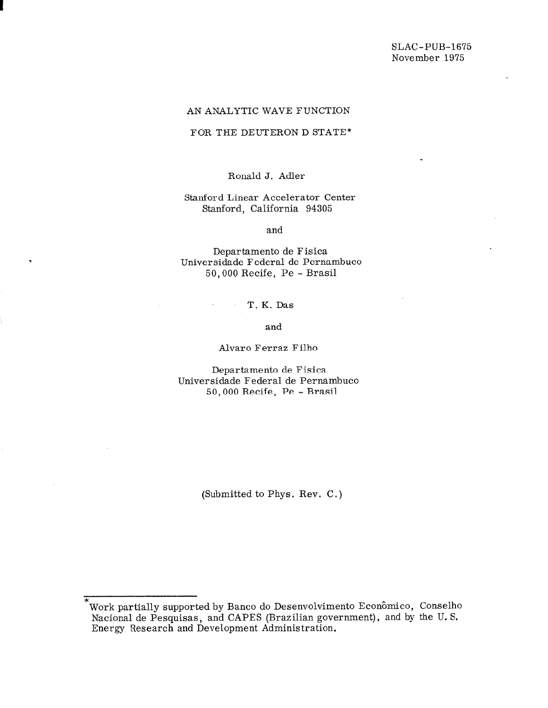.

### AN ANALYTIC WAVE FUNCTION

## FOR THE DEUTERON D STATE\*

# Ronald J. Adler

## Stanford Linear Accelerator Center Stanford, California 94305

and

Departamento de Fisica Universidade Federal de Pernambuco 50,000 Recife, Pe - Brasil

### T. K. Das

#### and

### Alvaro Ferraz Filho

Departamento de Fisica Universidade Federal de Pernambuco 50,000 Recife, Pe - Brasil

(Submitted to Phys. Rev. C.)

<sup>\*</sup>  Work partially supported by Banco do Desenvolvimento Economico, Conselho Nacional de Pesquisas, and CAPES (Brazilian government), and by the U.S. Energy Research and Development Administration.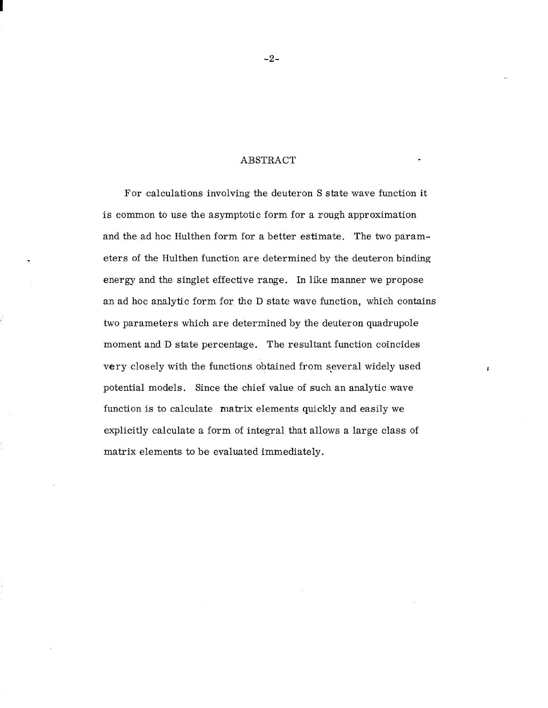### **ABSTRACT**

For calculations involving the deuteron S state wave function it is common to use the asymptotic form for a rough approximation and the ad hoc Hulthen form for a better estimate. The two parameters of the Hulthen function are determined by the deuteron binding energy and the singlet effective range. In like manner we propose an ad hoc analytic form for the D state wave function, which contains two parameters which are determined by the deuteron quadrupole moment and D state percentage. The resultant function coincides very closely with the functions obtained from several widely used potential models. Since the chief value of such an analytic wave function is to calculate matrix elements quickly and easily we explicitly calculate a form of integral that allows a large class of matrix elements to be evaluated immediately.

-2-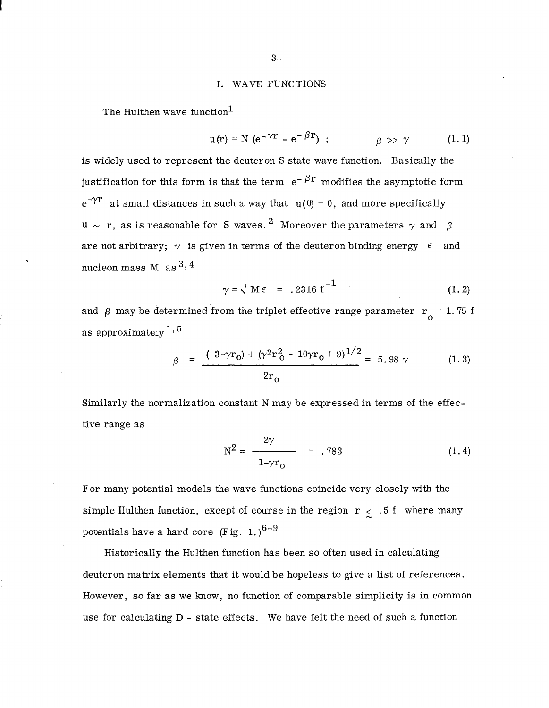## 1. WAVE FUNCTIONS

The Hulthen wave function $<sup>1</sup>$ </sup>

$$
u(r) = N (e^{-\gamma r} - e^{-\beta r}), \qquad \beta \gg \gamma \qquad (1.1)
$$

is widely used to represent the deuteron S state wave function. Basically the justification for this form is that the term  $e^{-\beta r}$  modifies the asymptotic form  $e^{-\gamma r}$  at small distances in such a way that  $u(0) = 0$ , and more specifically  $u \sim r$ , as is reasonable for S waves.<sup>2</sup> Moreover the parameters  $\gamma$  and  $\beta$ are not arbitrary;  $\gamma$  is given in terms of the deuteron binding energy  $\epsilon$  and nucleon mass M as  $3, 4$ 

$$
\gamma = \sqrt{M \epsilon} = .2316 f^{-1} \tag{1.2}
$$

and  $\beta$  may be determined from the triplet effective range parameter  $r_{\alpha} = 1.75$  f  $\mathsf{U}$ as approximately  $1, 5$ 

$$
\beta = \frac{(3-\gamma r_0) + (\gamma^2 r_0^2 - 10\gamma r_0 + 9)^{1/2}}{2r_0} = 5.98 \gamma \qquad (1.3)
$$

Similarly the normalization constant N may be expressed in terms of the effective range as

$$
N^2 = \frac{2\gamma}{1 - \gamma r_0} = .783 \tag{1.4}
$$

For many potential models the wave functions coincide very closely with the simple Hulthen function, except of course in the region  $r \leq .5$  f where many potentials have a hard core (Fig. 1.)<sup>6-9</sup>

Historically the Hulthen function has been so often used in calculating deuteron matrix elements that it would be hopeless to give a list of references. However, so far as we know, no function of comparable simplicity is in common use for calculating D - state effects. We have felt the need of such a function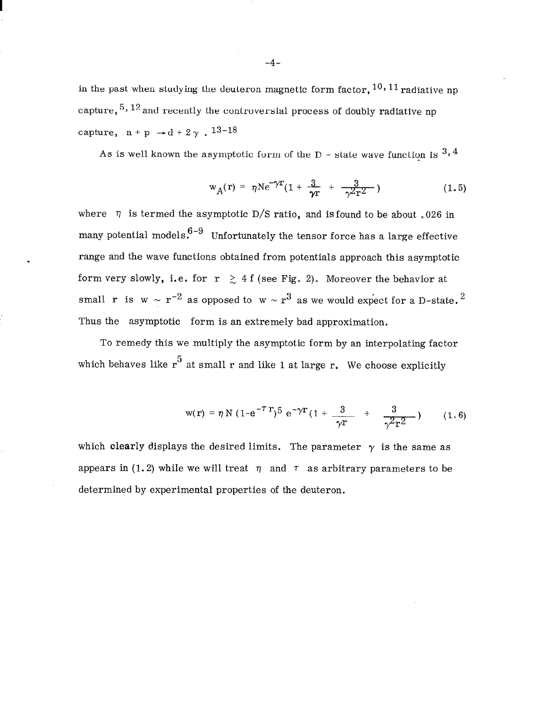in the past when studying the deuteron magnetic form factor,  $^{10,11}$  radiative np capture,  $5, 12$  and recently the controversial process of doubly radiative np capture,  $n+p \rightarrow d + 2\gamma$ . 13-18

As is well known the asymptotic form of the  $D$  - state wave function is  $3, 4$ 

$$
w_A(r) = \eta N e^{-\gamma r} (1 + \frac{3}{\gamma r} + \frac{3}{\gamma^2 r^2})
$$
 (1.5)

where  $\eta$  is termed the asymptotic D/S ratio, and is found to be about .026 in many potential models.  $6-9$  Unfortunately the tensor force has a large effective range and the wave functions obtained from potentials approach this asymptotic form very slowly, i.e. for  $r \geq 4$  f (see Fig. 2). Moreover the behavior at small r is w  $\sim r^{-2}$  as opposed to w  $\sim r^3$  as we would expect for a D-state.<sup>2</sup> Thus the asymptotic form is an extremely bad approximation.

To remedy this we multiply the asymptotic form by an interpolating factor which behaves like  $r^5$  at small r and like 1 at large r. We choose explicitly

$$
w(r) = \eta N (1 - e^{-\tau T})^5 e^{-\gamma T} (1 + \frac{3}{\gamma T} + \frac{3}{\gamma^2 T^2})
$$
 (1.6)

which clearly displays the desired limits. The parameter  $\gamma$  is the same as appears in (1.2) while we will treat  $\eta$  and  $\tau$  as arbitrary parameters to be determined by experimental properties of the deuteron.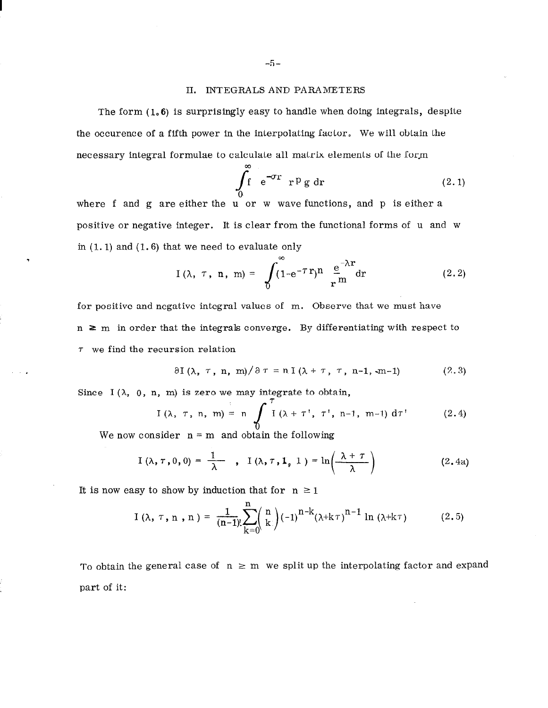### 11. INTEGRALS AND PARAMETERS

The form (1,6) is surprisingly easy to handle when doing integrals, despite the occurence of a fifth power in the interpolating factor, We will obtain the necessary integral formulae to calculate all matrix elements of the form

$$
\int_{0}^{\infty} e^{-\sigma r} r P g dr \qquad (2.1)
$$

where f and g are either the u or w wave functions, and p is either a positive or negative integer. It is clear from the functional forms of u and w in  $(1.1)$  and  $(1.6)$  that we need to evaluate only

$$
I(\lambda, \tau, n, m) = \int_{0}^{\infty} (1 - e^{-\tau} r)^{n} \frac{e^{-\lambda r}}{r^{m}} dr \qquad (2.2)
$$

for positive and negative integral values of m. Observe that we must have  $n \ge m$  in order that the integrals converge. By differentiating with respect to  $\tau$  we find the recursion relation

$$
\partial I(\lambda, \tau, n, m)/\partial \tau = n I(\lambda + \tau, \tau, n-1, -m-1) \qquad (2.3)
$$

Since I  $(\lambda, 0, n, m)$  is zero we may integrate to obtain

I (λ, 
$$
\tau
$$
, n, m) = n  $\int_0^{\tau} I(\lambda + \tau', \tau', n-1, m-1) d\tau'$  (2.4)

We now consider  $n = m$  and obtain the following

$$
I(\lambda, \tau, 0, 0) = \frac{1}{\lambda} \quad , \quad I(\lambda, \tau, 1, 1) = \ln\left(\frac{\lambda + \tau}{\lambda}\right) \quad (2.4a)
$$

It is now easy to show by induction that for  $n \ge 1$ 

I 
$$
(\lambda, \tau, n, n) = \frac{1}{(n-1)!} \sum_{k=0}^{n} {n \choose k} (-1)^{n-k} (\lambda + k \tau)^{n-1} \ln (\lambda + k \tau)
$$
 (2.5)

To obtain the general case of  $n \ge m$  we split up the interpolating factor and expand part of it: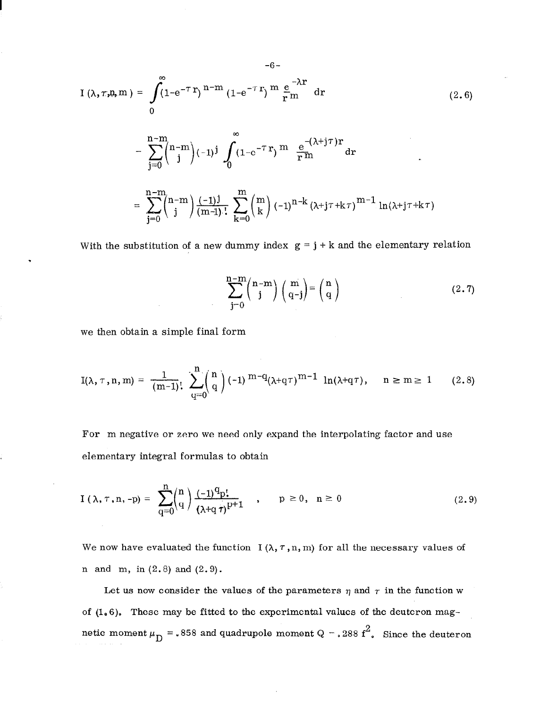$$
I(\lambda, \tau, n, m) = \int_{0}^{\infty} (1 - e^{-\tau} r)^{n-m} (1 - e^{-\tau} r)^{m} \frac{e^{-\lambda r}}{r^{m}} dr
$$
\n
$$
= \sum_{j=0}^{n-m} {n-m \choose j} (-1)^{j} \int_{0}^{\infty} (1 - e^{-\tau} r)^{m} \frac{e^{-(\lambda + j\tau)} r}{r^{m}} dr
$$
\n
$$
= \sum_{j=0}^{n-m} {n-m \choose j} \frac{(-1)^{j}}{(m-j)!} \sum_{k=0}^{m} {m \choose k} (-1)^{n-k} (\lambda + j\tau + k\tau)^{m-1} \ln(\lambda + j\tau + k\tau)
$$
\n(2.6)

-6-

With the substitution of a new dummy index  $g = j + k$  and the elementary relation

$$
\sum_{j=0}^{n-m} {n-m \choose j} {m \choose q-j} = {n \choose q}
$$
 (2.7)

we then obtain a simple final form

$$
I(\lambda, \tau, n, m) = \frac{1}{(m-1)!} \sum_{q=0}^{n} {n \choose q} (-1)^{m-q} (\lambda + q \tau)^{m-1} \ln(\lambda + q \tau), \quad n \geq m \geq 1 \qquad (2.8)
$$

For m negative or zero we need only expand the interpolating factor and use elementary integral formulas to obtain

$$
I(\lambda, \tau, n, -p) = \sum_{q=0}^{n} {n \choose q} \frac{(-1)^{q} p!}{(\lambda + q \tau)^{p+1}}, \quad p \ge 0, \quad n \ge 0
$$
 (2.9)

We now have evaluated the function  $I(\lambda, \tau, n, m)$  for all the necessary values of n and m, in  $(2.8)$  and  $(2.9)$ .

Let us now consider the values of the parameters  $\eta$  and  $\tau$  in the function w of (1.6). These may be fitted to the experimental values of the deuteron magnetic moment  $\mu_D = .858$  and quadrupole moment Q = 0.288 f<sup>2</sup>. Since the deuteron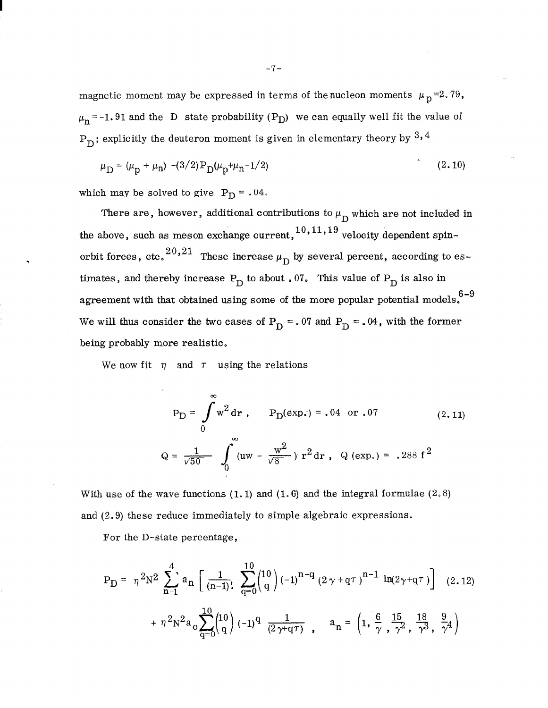magnetic moment may be expressed in terms of the nucleon moments  $\mu_p=2.79$ ,  $\mu_n$  = -1.91 and the D state probability (P<sub>D</sub>) we can equally well fit the value of  $P_D$ ; explicitly the deuteron moment is given in elementary theory by  $3, 4$ 

$$
\mu_{\rm D} = (\mu_{\rm p} + \mu_{\rm n}) - (3/2) P_{\rm D}(\mu_{\rm p} + \mu_{\rm n} - 1/2)
$$
\n(2.10)

which may be solved to give  $P_D = .04$ .

There are, however, additional contributions to  $\mu_D$  which are not included in the above, such as meson exchange current,  $10,11,19$  velocity dependent spinorbit forces, etc. <sup>20,21</sup> These increase  $\mu_{\text{D}}$  by several percent, according to estimates, and thereby increase  $P_D$  to about . 07. This value of  $P_D$  is also in agreement with that obtained using some of the more popular potential models. $6-9$ We will thus consider the two cases of  $P_D = 0.07$  and  $P_D = 0.04$ , with the former being probably more realistic.

We now fit  $\eta$  and  $\tau$  using the relations

$$
P_{D} = \int_{0}^{\infty} w^{2} dr , \qquad P_{D}(\exp.) = .04 \text{ or } .07
$$
 (2.11)  

$$
Q = \frac{1}{\sqrt{50}} \int_{0}^{\infty} (uw - \frac{w^{2}}{\sqrt{8}}) r^{2} dr , \ Q(\exp.) = .288 f^{2}
$$

With use of the wave functions  $(1.1)$  and  $(1.6)$  and the integral formulae  $(2.8)$ and (2.9) these reduce immediately to simple algebraic expressions.

For the D-state percentage,

$$
P_{D} = \eta^{2} N^{2} \sum_{n=1}^{4} a_{n} \left[ \frac{1}{(n-1)!} \sum_{q=0}^{10} {10 \choose q} (-1)^{n-q} (2 \gamma + q \tau)^{n-1} \ln(2 \gamma + q \tau) \right] (2.12)
$$
  
+  $\eta^{2} N^{2} a_{0} \sum_{q=0}^{10} {10 \choose q} (-1)^{q} \frac{1}{(2 \gamma + q \tau)}, \quad a_{n} = \left(1, \frac{6}{\gamma}, \frac{15}{\gamma^{2}}, \frac{18}{\gamma^{3}}, \frac{9}{\gamma^{4}}\right)$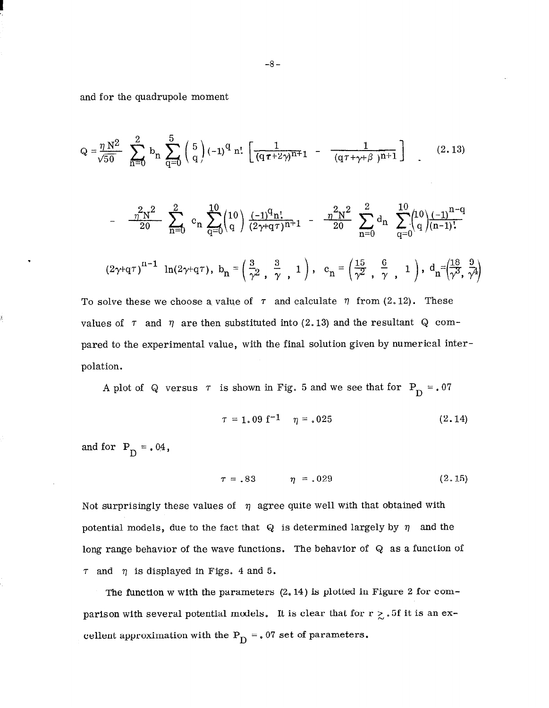and for the quadrupole moment

$$
Q = \frac{\eta N^2}{\sqrt{50}} \sum_{n=0}^{2} b_n \sum_{q=0}^{5} {5 \choose q} (-1)^q n! \left[ \frac{1}{(q\tau + 2\gamma)^{n+1}} - \frac{1}{(q\tau + \gamma + \beta)^{n+1}} \right]
$$
(2.13)  

$$
- \frac{\eta^2 N^2}{20} \sum_{n=0}^{2} c_n \sum_{q=0}^{10} {10 \choose q} \frac{(-1)^q n!}{(2\gamma + q\tau)^{n+1}} - \frac{\eta^2 N^2}{20} \sum_{n=0}^{2} d_n \sum_{q=0}^{10} {10 \choose q} \frac{(-1)^{n-q}}{(n-1)!}
$$
  

$$
(2\gamma + q\tau)^{n-1} \ln(2\gamma + q\tau), b_n = \left( \frac{3}{\gamma^2}, \frac{3}{\gamma}, 1 \right), c_n = \left( \frac{15}{\gamma^2}, \frac{6}{\gamma}, 1 \right), d_n = \left( \frac{18}{\gamma^3}, \frac{9}{\gamma^4} \right)
$$
  
To solve these we choose a value of  $\tau$  and calculate  $\eta$  from (2.12). These values of  $\tau$  and  $\eta$  are then substituted into (2.13) and the resultant Q com-

pared to the experimental value, with the final solution given by numerical interpolation.

A plot of Q versus  $\tau$  is shown in Fig. 5 and we see that for  $P_D = .07$ 

$$
\tau = 1.09 \text{ f}^{-1} \quad \eta = .025 \tag{2.14}
$$

and for  $P_D = .04$ ,

į,

$$
\tau = .83 \qquad \eta = .029 \qquad (2.15)
$$

Not surprisingly these values of  $\eta$  agree quite well with that obtained with potential models, due to the fact that Q is determined largely by  $\eta$  and the long range behavior of the wave functions. The behavior of Q as a function of  $\tau$  and  $\eta$  is displayed in Figs. 4 and 5.

The function w with the parameters (2.14) is plotted in Figure 2 for comparison with several potential models. It is clear that for  $r \geq .5f$  it is an excellent approximation with the  $P_D = 07$  set of parameters.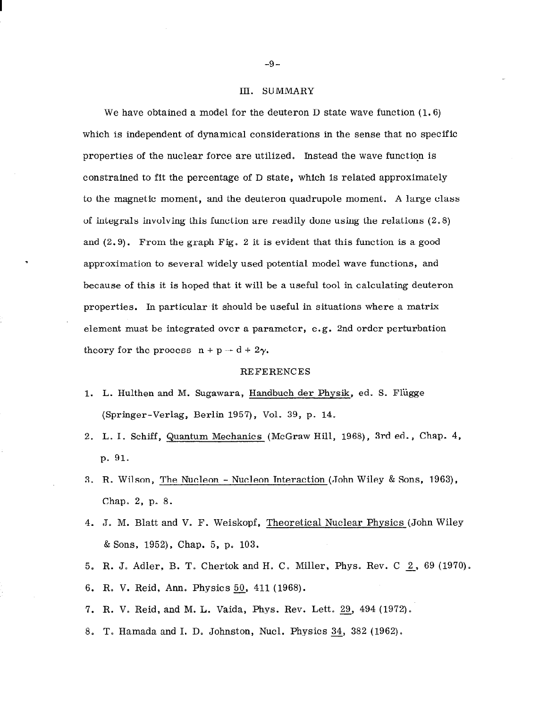#### III. SUMMARY

We have obtained a model for the deuteron  $D$  state wave function  $(1.6)$ which is independent of dynamical considerations in the sense that no specific properties of the nuclear force are utilized. Instead the wave function is constrained to fit the percentage of D state, which is related approximately to the magnetic moment, and the deuteron quadrupole moment. A large class of integrals involving this function are readily done using the relations  $(2.8)$ and  $(2, 9)$ . From the graph Fig. 2 it is evident that this function is a good approximation to several widely used potential model wave functions, and because of this it is hoped that it will be a useful tool in calculating deuteron properties. In particular it should be useful in situations where a matrix element must be integrated over a parameter, e.g. 2nd order perturbation theory for the process  $n + p \rightarrow d + 2\gamma$ .

#### REFERENCES

- 1. L. Hulthen and M. Sugawara, Handbuch der Phgsik, ed. S. Fliigge (Springer-Verlag, Berlin 1957), Vol. 39, p. 14.
- 2. L. I. Schiff, Quantum Mechanics (McGraw Hill, 1968), 3rd ed., Chap. 4, p. 91.
- 3. R. Wilson, The Nucleon Nucleon Interaction (John Wiley & Sons, 1963), Chap. 2, p. 8.
- 4. J. M. Blatt and V.. F. Weiskopf, Theoretical Nuclear Physics (John Wiley  $&$  Sons, 1952), Chap. 5, p. 103.
- 5. R. J, Adler, B. T. Chertok and H. C. Miller, Phys. Rev. C 2, 69 (1970).
- 6. R. V. Reid, Ann. Physics 50, 411 (1968).
- 7. R. V. Reid, and M. L. Vaida, Phys. Rev. Lett. 29, 494 (1972).
- 8. T. Hamada and I. D. Johnston, Nucl. Physics 34, 382 (1962).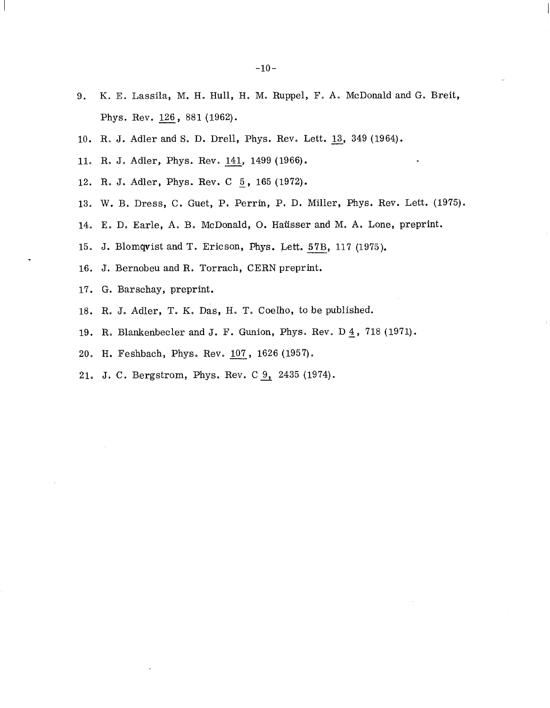- 9. K. E. Lassila, M. H. Hull, H. M. Ruppel, F. A. McDonald and G. Breit, Phys. Rev. 126, 881 (1962).
- 10. R. J. Adler and S. D. Drell, Phys. Rev. Lett. 13, 349 (1964).
- 11. R. J. Adler, Phys. Rev. 141, 1499 (1966).
- 12. R. J. Adler, Phys. Rev. C  $\frac{5}{2}$ , 165 (1972).
- 13. W. B. Dress, C. Guet, P. Perrin, P. D. Miller, Phys. Rev. Lett. (1975).
- 14. E. D. Earle, A. B. McDonald, 0. Haiisser and M. A. Lone, preprint.
- 15. J. Blomqvist and T. Ericson, Phys. Lett. 57B, 117 (1975).
- 16. J. Bernobeu and R. Torrach, CERN preprint.
- 17. G. Barschay, preprint.
- 18. R. J, Adler, T. K. Das, H. T. Coelho, to be published.
- 19. R. Blankenbecler and J. F. Gunion, Phys. Rev. D  $\frac{4}{1}$ , 718 (1971).
- 20. H. Feshbach, Phys. Rev. 107, 1626 (1957).
- 21. J. C. Bergstrom, Phys. Rev. C 9, 2435 (1974).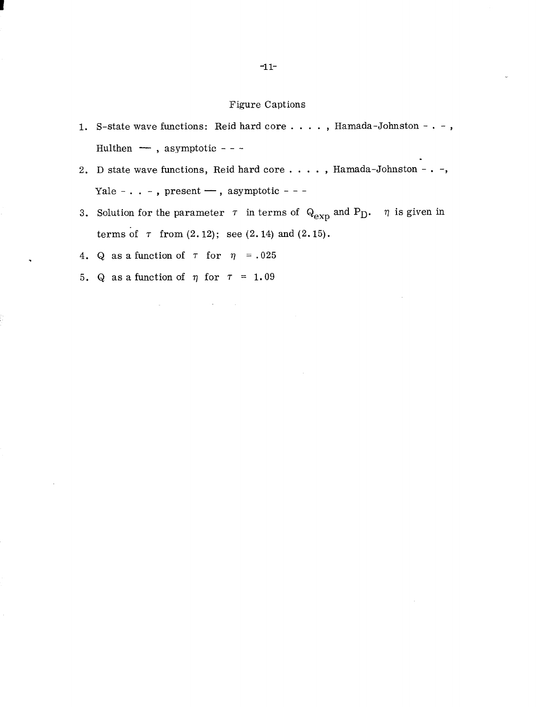## Figure Captions

- 1. S-state wave functions: Reid hard core . . . . , Hamada-Johnston . , Hulthen — , asymptotic - - -
- 2. D state wave functions, Reid hard core  $\dots$ , Hamada-Johnston . -, Yale - . . - , present — , asymptotic - - -
- 3. Solution for the parameter  $\tau$  in terms of  $Q_{exp}$  and  $P_D$ .  $\eta$  is given in terms of  $\tau$  from  $(2.12)$ ; see  $(2.14)$  and  $(2.15)$ .
- 4. Q as a function of  $\tau$  for  $\eta$  = .025
- 5. Q as a function of  $\eta$  for  $\tau = 1.09$

 $\mathcal{A}^{\mathcal{A}}_{\mathcal{A}}$  and  $\mathcal{A}^{\mathcal{A}}_{\mathcal{A}}$  and  $\mathcal{A}^{\mathcal{A}}_{\mathcal{A}}$  and  $\mathcal{A}^{\mathcal{A}}_{\mathcal{A}}$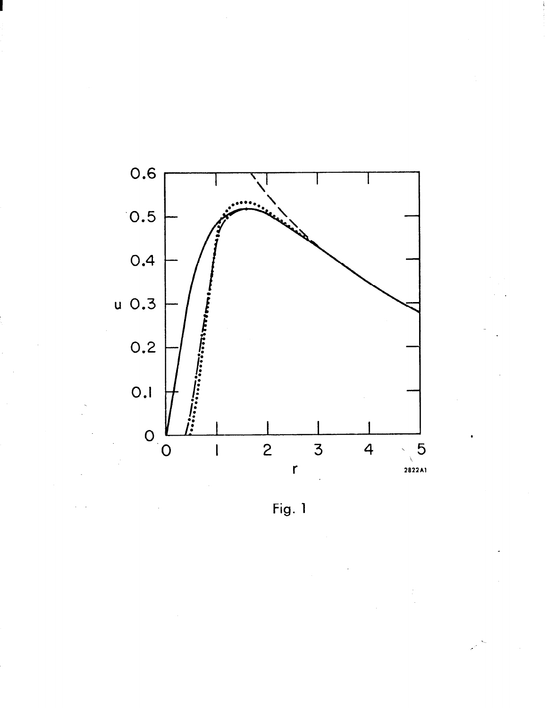

Fig. 1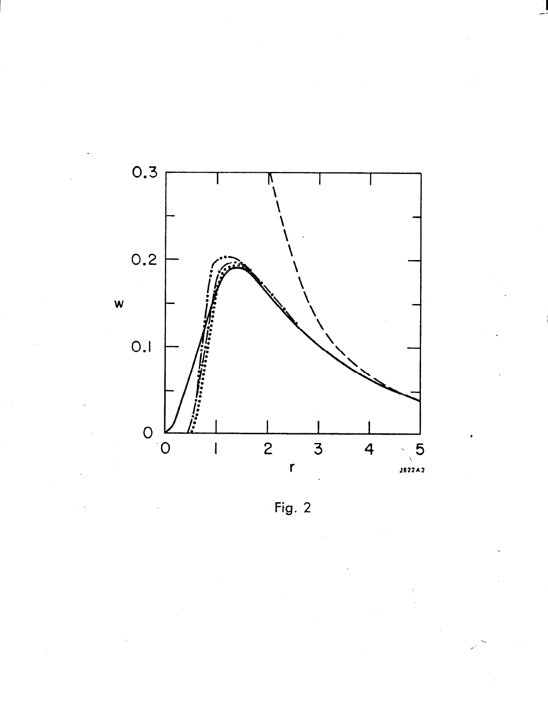

Fig.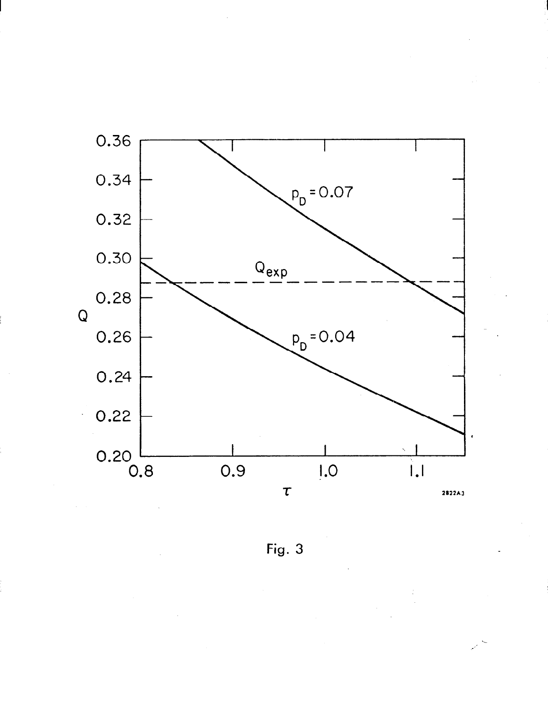

Fig. 3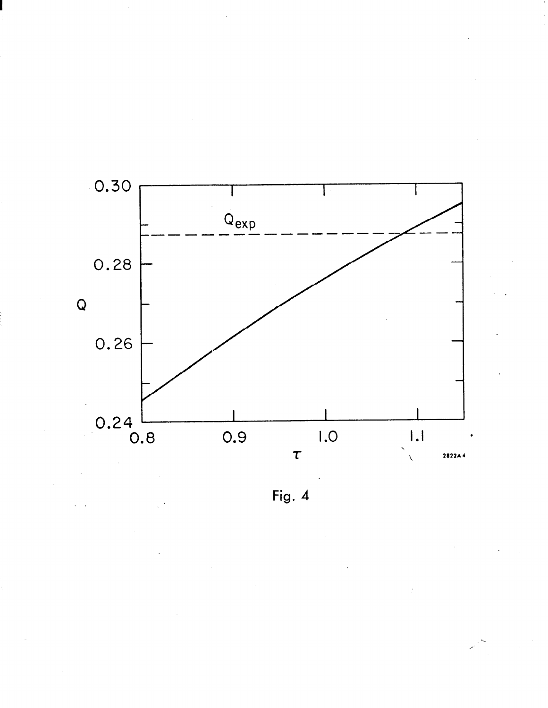

Fig. 4